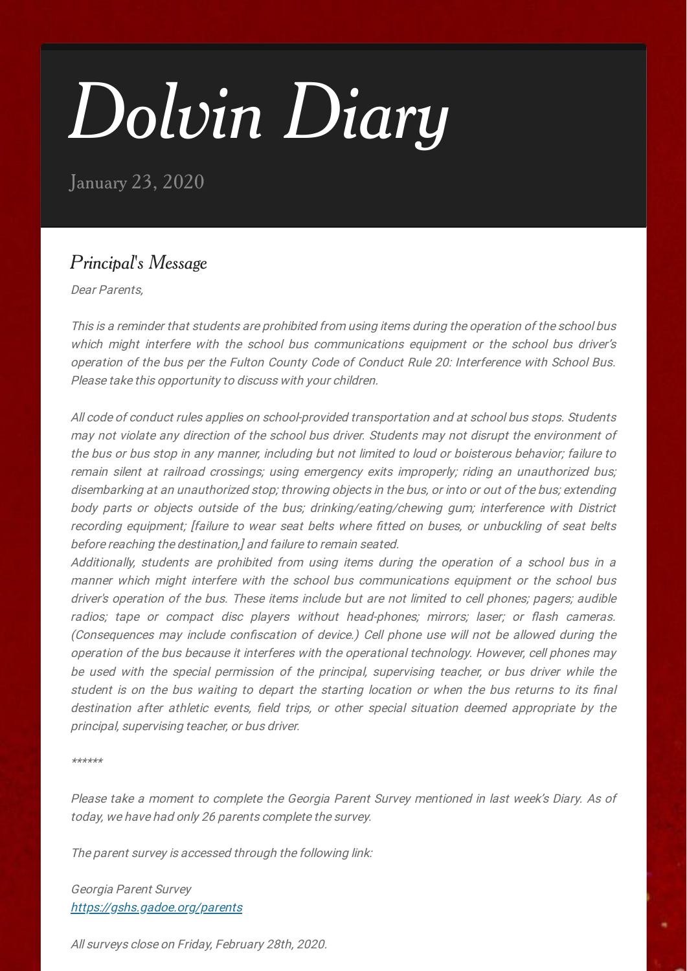# *Dolvin Diary*

January 23, 2020

## *Principal' s Message*

Dear Parents,

This is <sup>a</sup> reminder that students are prohibited from using items during the operation of the school bus which might interfere with the school bus communications equipment or the school bus driver's operation of the bus per the Fulton County Code of Conduct Rule 20: Interference with School Bus. Please take this opportunity to discuss with your children.

All code of conduct rules applies on school-provided transportation and at school bus stops. Students may not violate any direction of the school bus driver. Students may not disrupt the environment of the bus or bus stop in any manner, including but not limited to loud or boisterous behavior; failure to remain silent at railroad crossings; using emergency exits improperly; riding an unauthorized bus; disembarking at an unauthorized stop; throwing objects in the bus, or into or out of the bus; extending body parts or objects outside of the bus; drinking/eating/chewing gum; interference with District recording equipment; Ifailure to wear seat belts where fitted on buses, or unbuckling of seat belts before reaching the destination,] and failure to remain seated.

Additionally, students are prohibited from using items during the operation of <sup>a</sup> school bus in <sup>a</sup> manner which might interfere with the school bus communications equipment or the school bus driver's operation of the bus. These items include but are not limited to cell phones; pagers; audible radios; tape or compact disc players without head-phones; mirrors; laser; or flash cameras. (Consequences may include confiscation of device.) Cell phone use will not be allowed during the operation of the bus because it interferes with the operational technology. However, cell phones may be used with the special permission of the principal, supervising teacher, or bus driver while the student is on the bus waiting to depart the starting location or when the bus returns to its final destination after athletic events, field trips, or other special situation deemed appropriate by the principal, supervising teacher, or bus driver.

\*\*\*\*\*\*

Please take <sup>a</sup> moment to complete the Georgia Parent Survey mentioned in last week's Diary. As of today, we have had only 26 parents complete the survey.

The parent survey is accessed through the following link:

Georgia Parent Survey <https://gshs.gadoe.org/parents>

All surveys close on Friday, February 28th, 2020.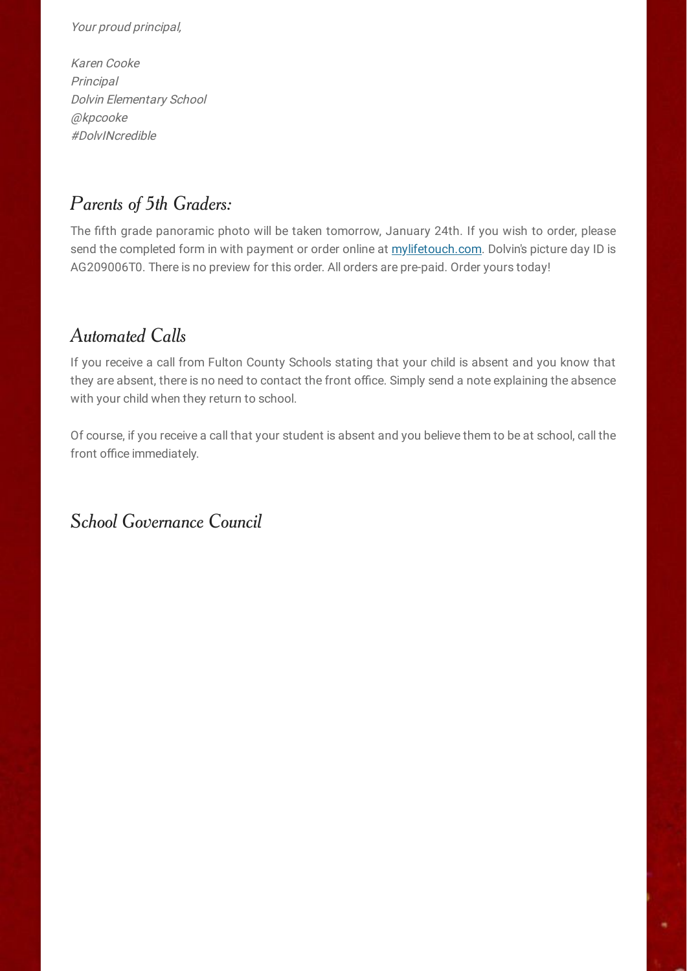#### Your proud principal,

Karen Cooke **Principal** Dolvin Elementary School @kpcooke #DolvINcredible

## *Parents of 5th Graders:*

The fifth grade panoramic photo will be taken tomorrow, January 24th. If you wish to order, please send the completed form in with payment or order online at [mylifetouch.com.](http://mylifetouch.com/) Dolvin's picture day ID is AG209006T0. There is no preview for this order. All orders are pre-paid. Order yours today!

## *Automated Calls*

If you receive a call from Fulton County Schools stating that your child is absent and you know that they are absent, there is no need to contact the front office. Simply send a note explaining the absence with your child when they return to school.

Of course, if you receive a call that your student is absent and you believe them to be at school, call the front office immediately.

*School Governance Council*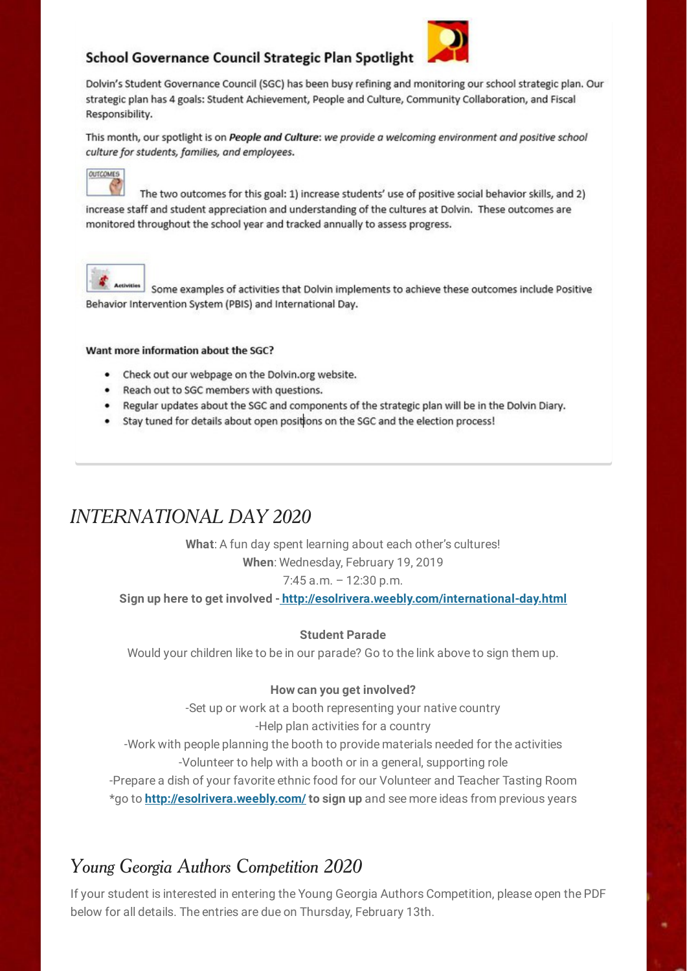### School Governance Council Strategic Plan Spotlight



Dolvin's Student Governance Council (SGC) has been busy refining and monitoring our school strategic plan. Our strategic plan has 4 goals: Student Achievement, People and Culture, Community Collaboration, and Fiscal Responsibility.

This month, our spotlight is on People and Culture: we provide a welcoming environment and positive school culture for students, families, and employees.



The two outcomes for this goal: 1) increase students' use of positive social behavior skills, and 2) increase staff and student appreciation and understanding of the cultures at Dolvin. These outcomes are monitored throughout the school year and tracked annually to assess progress.



Some examples of activities that Dolvin implements to achieve these outcomes include Positive Behavior Intervention System (PBIS) and International Day.

#### Want more information about the SGC?

- Check out our webpage on the Dolvin.org website.
- Reach out to SGC members with questions.
- . Regular updates about the SGC and components of the strategic plan will be in the Dolvin Diary.
- Stay tuned for details about open positions on the SGC and the election process!

## *INTERNATIONAL DAY 2020*

**What**: A fun day spent learning about each other's cultures! **When**: Wednesday, February 19, 2019 7:45 a.m. – 12:30 p.m.

**Sign up here to get involved [-](http://esolrivera.weebly.com/international-day.html) <http://esolrivera.weebly.com/international-day.html>**

#### **Student Parade**

Would your children like to be in our parade? Go to the link above to sign them up.

#### **How can you get involved?**

-Set up or work at a booth representing your native country -Help plan activities for a country -Work with people planning the booth to provide materials needed for the activities -Volunteer to help with a booth or in a general, supporting role

-Prepare a dish of your favorite ethnic food for our Volunteer and Teacher Tasting Room \*go to **<http://esolrivera.weebly.com/> to sign up** and see more ideas from previous years

## *Young Georgia Authors Competition 2020*

If your student is interested in entering the Young Georgia Authors Competition, please open the PDF below for all details. The entries are due on Thursday, February 13th.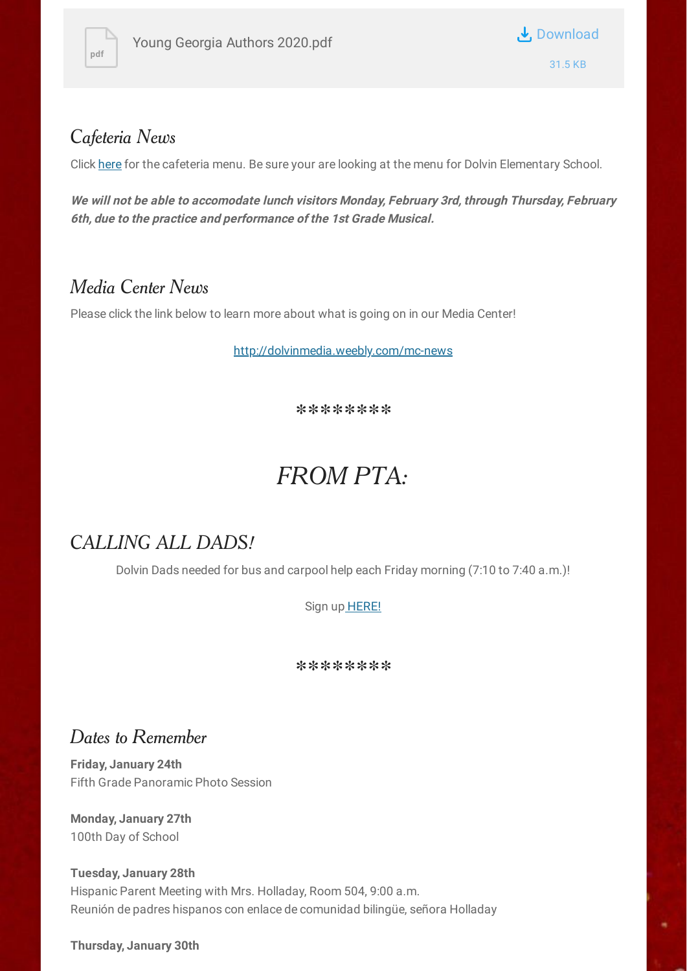



## *Cafeteria News*

Click [here](https://nutrition.fultonschools.org/MenuCalendar) for the cafeteria menu. Be sure your are looking at the menu for Dolvin Elementary School.

**We will not be able to accomodate lunch visitors Monday, February 3rd, through Thursday, February 6th, due to the practice and performance of the 1st Grade Musical.**

## *Media Center News*

Please click the link below to learn more about what is going on in our Media Center!

[http://dolvinmedia.weebly.com/mc-news](https://nam03.safelinks.protection.outlook.com/?url=http%3A%2F%2Fdolvinmedia.weebly.com%2Fmc-news&data=02%7C01%7CCarper%40fultonschools.org%7Ce0b1a9dbc7234785b7c508d75d3acfba%7C0cdcb19881694b70ba9fda7e3ba700c2%7C1%7C0%7C637080379479902644&sdata=Aun%2B0h6rXBLr%2BEwaEeerkdic%2FCSEKIHDKpGtItNLk08%3D&reserved=0)

*\*\*\*\*\*\*\*\**

## *FROM PTA:*

## *CALLING ALL DADS!*

Dolvin Dads needed for bus and carpool help each Friday morning (7:10 to 7:40 a.m.)!

Sign up [HERE!](https://www.signupgenius.com/go/10c0444a5a72ea6f58-dolvin1)

*\*\*\*\*\*\*\*\**

## *Dates to Remember*

**Friday, January 24th** Fifth Grade Panoramic Photo Session

**Monday, January 27th** 100th Day of School

**Tuesday, January 28th** Hispanic Parent Meeting with Mrs. Holladay, Room 504, 9:00 a.m. Reunión de padres hispanos con enlace de comunidad bilingüe, señora Holladay

**Thursday, January 30th**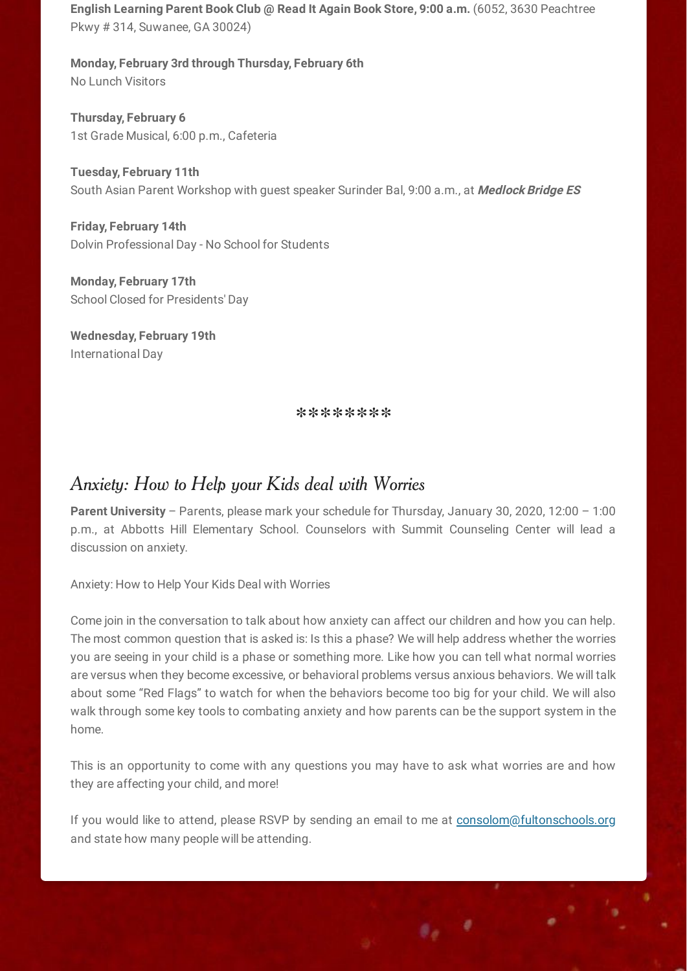**English Learning Parent Book Club @ Read It Again Book Store, 9:00 a.m.** (6052, 3630 Peachtree Pkwy # 314, Suwanee, GA 30024)

**Monday, February 3rd through Thursday, February 6th** No Lunch Visitors

**Thursday, February 6** 1st Grade Musical, 6:00 p.m., Cafeteria

**Tuesday, February 11th** South Asian Parent Workshop with guest speaker Surinder Bal, 9:00 a.m., at **Medlock Bridge ES**

**Friday, February 14th** Dolvin Professional Day - No School for Students

**Monday, February 17th** School Closed for Presidents' Day

**Wednesday, February 19th** International Day

*\*\*\*\*\*\*\*\**

## *Anxiety: How to Help your Kids deal with Worries*

**Parent University** – Parents, please mark your schedule for Thursday, January 30, 2020, 12:00 – 1:00 p.m., at Abbotts Hill Elementary School. Counselors with Summit Counseling Center will lead a discussion on anxiety.

Anxiety: How to Help Your Kids Deal with Worries

Come join in the conversation to talk about how anxiety can affect our children and how you can help. The most common question that is asked is: Is this a phase? We will help address whether the worries you are seeing in your child is a phase or something more. Like how you can tell what normal worries are versus when they become excessive, or behavioral problems versus anxious behaviors. We will talk about some "Red Flags" to watch for when the behaviors become too big for your child. We will also walk through some key tools to combating anxiety and how parents can be the support system in the home.

This is an opportunity to come with any questions you may have to ask what worries are and how they are affecting your child, and more!

If you would like to attend, please RSVP by sending an email to me at [consolom@fultonschools.org](mailto:consolom@fultonschools.org) and state how many people will be attending.

 $\mathfrak{g}_\mathfrak{g}=\mathfrak{g}$